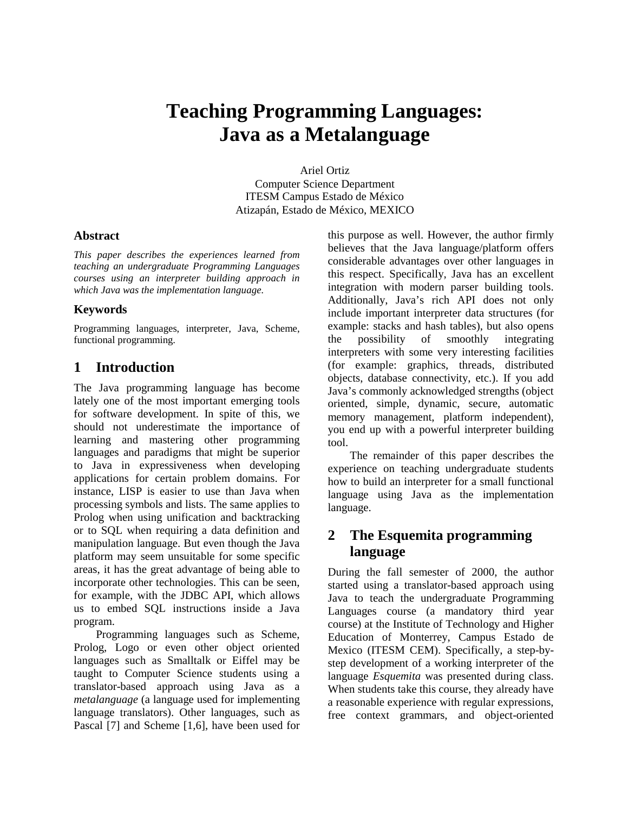# **Teaching Programming Languages: Java as a Metalanguage**

Ariel Ortiz Computer Science Department ITESM Campus Estado de México Atizapán, Estado de México, MEXICO

#### **Abstract**

*This paper describes the experiences learned from teaching an undergraduate Programming Languages courses using an interpreter building approach in which Java was the implementation language.* 

#### **Keywords**

Programming languages, interpreter, Java, Scheme, functional programming.

# **1 Introduction**

The Java programming language has become lately one of the most important emerging tools for software development. In spite of this, we should not underestimate the importance of learning and mastering other programming languages and paradigms that might be superior to Java in expressiveness when developing applications for certain problem domains. For instance, LISP is easier to use than Java when processing symbols and lists. The same applies to Prolog when using unification and backtracking or to SQL when requiring a data definition and manipulation language. But even though the Java platform may seem unsuitable for some specific areas, it has the great advantage of being able to incorporate other technologies. This can be seen, for example, with the JDBC API, which allows us to embed SQL instructions inside a Java program.

Programming languages such as Scheme, Prolog, Logo or even other object oriented languages such as Smalltalk or Eiffel may be taught to Computer Science students using a translator-based approach using Java as a *metalanguage* (a language used for implementing language translators). Other languages, such as Pascal [7] and Scheme [1,6], have been used for this purpose as well. However, the author firmly believes that the Java language/platform offers considerable advantages over other languages in this respect. Specifically, Java has an excellent integration with modern parser building tools. Additionally, Java's rich API does not only include important interpreter data structures (for example: stacks and hash tables), but also opens the possibility of smoothly integrating interpreters with some very interesting facilities (for example: graphics, threads, distributed objects, database connectivity, etc.). If you add Java's commonly acknowledged strengths (object oriented, simple, dynamic, secure, automatic memory management, platform independent), you end up with a powerful interpreter building tool.

The remainder of this paper describes the experience on teaching undergraduate students how to build an interpreter for a small functional language using Java as the implementation language.

# **2 The Esquemita programming language**

During the fall semester of 2000, the author started using a translator-based approach using Java to teach the undergraduate Programming Languages course (a mandatory third year course) at the Institute of Technology and Higher Education of Monterrey, Campus Estado de Mexico (ITESM CEM). Specifically, a step-bystep development of a working interpreter of the language *Esquemita* was presented during class. When students take this course, they already have a reasonable experience with regular expressions, free context grammars, and object-oriented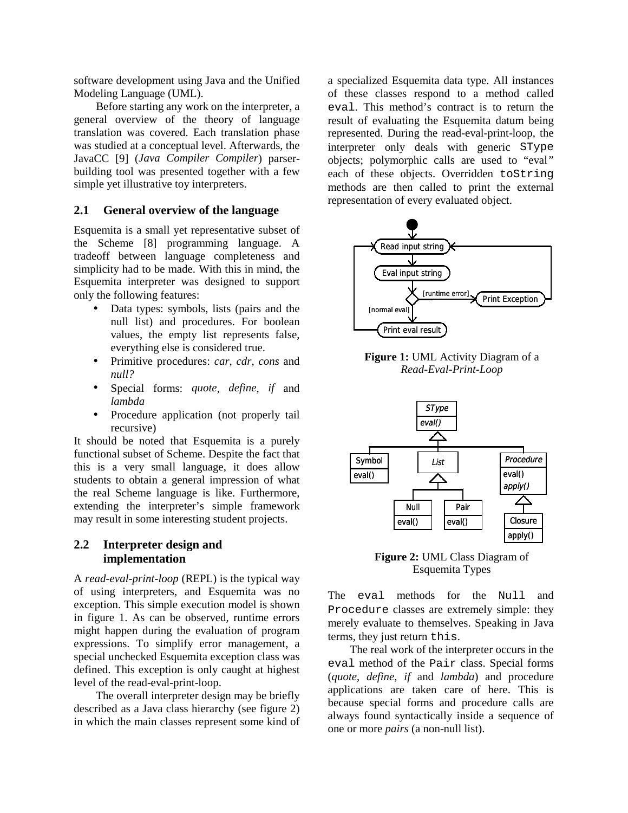software development using Java and the Unified Modeling Language (UML).

Before starting any work on the interpreter, a general overview of the theory of language translation was covered. Each translation phase was studied at a conceptual level. Afterwards, the JavaCC [9] (*Java Compiler Compiler*) parserbuilding tool was presented together with a few simple yet illustrative toy interpreters.

#### **2.1 General overview of the language**

Esquemita is a small yet representative subset of the Scheme [8] programming language. A tradeoff between language completeness and simplicity had to be made. With this in mind, the Esquemita interpreter was designed to support only the following features:

- Data types: symbols, lists (pairs and the null list) and procedures. For boolean values, the empty list represents false, everything else is considered true.
- Primitive procedures: *car*, *cdr*, *cons* and *null?*
- Special forms: *quote*, *define*, *if* and *lambda*
- Procedure application (not properly tail recursive)

It should be noted that Esquemita is a purely functional subset of Scheme. Despite the fact that this is a very small language, it does allow students to obtain a general impression of what the real Scheme language is like. Furthermore, extending the interpreter's simple framework may result in some interesting student projects.

#### **2.2 Interpreter design and implementation**

A *read-eval-print-loop* (REPL) is the typical way of using interpreters, and Esquemita was no exception. This simple execution model is shown in figure 1. As can be observed, runtime errors might happen during the evaluation of program expressions. To simplify error management, a special unchecked Esquemita exception class was defined. This exception is only caught at highest level of the read-eval-print-loop.

The overall interpreter design may be briefly described as a Java class hierarchy (see figure 2) in which the main classes represent some kind of

a specialized Esquemita data type. All instances of these classes respond to a method called eval. This method's contract is to return the result of evaluating the Esquemita datum being represented. During the read-eval-print-loop, the interpreter only deals with generic SType objects; polymorphic calls are used to "eval*"* each of these objects. Overridden toString methods are then called to print the external representation of every evaluated object.



**Figure 1:** UML Activity Diagram of a *Read-Eval-Print-Loop* 



**Figure 2:** UML Class Diagram of Esquemita Types

The eval methods for the Null and Procedure classes are extremely simple: they merely evaluate to themselves. Speaking in Java terms, they just return this.

The real work of the interpreter occurs in the eval method of the Pair class. Special forms (*quote*, *define*, *if* and *lambda*) and procedure applications are taken care of here. This is because special forms and procedure calls are always found syntactically inside a sequence of one or more *pairs* (a non-null list).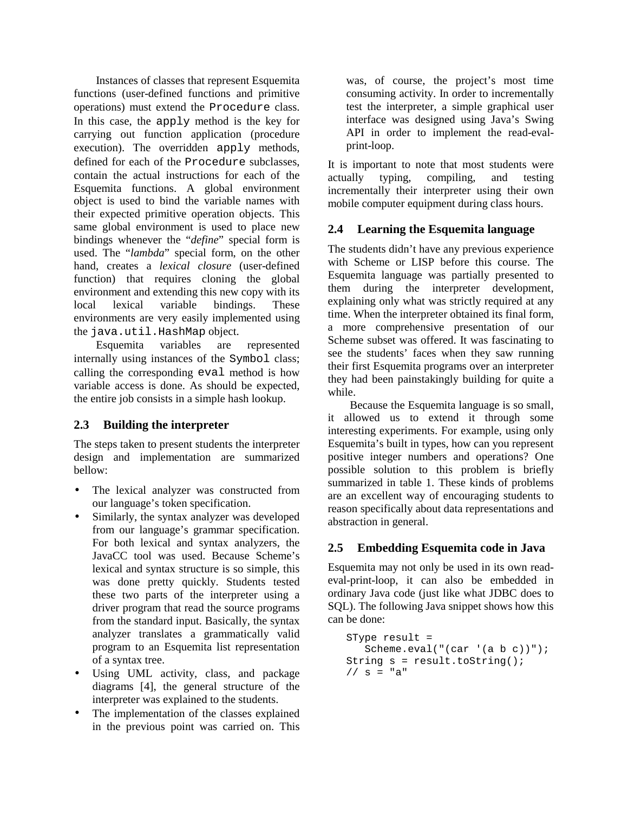Instances of classes that represent Esquemita functions (user-defined functions and primitive operations) must extend the Procedure class. In this case, the apply method is the key for carrying out function application (procedure execution). The overridden apply methods, defined for each of the Procedure subclasses, contain the actual instructions for each of the Esquemita functions. A global environment object is used to bind the variable names with their expected primitive operation objects. This same global environment is used to place new bindings whenever the "*define*" special form is used. The "*lambda*" special form, on the other hand, creates a *lexical closure* (user-defined function) that requires cloning the global environment and extending this new copy with its local lexical variable bindings. These environments are very easily implemented using the java.util.HashMap object.

Esquemita variables are represented internally using instances of the Symbol class; calling the corresponding eval method is how variable access is done. As should be expected, the entire job consists in a simple hash lookup.

## **2.3 Building the interpreter**

The steps taken to present students the interpreter design and implementation are summarized bellow:

- The lexical analyzer was constructed from our language's token specification.
- Similarly, the syntax analyzer was developed from our language's grammar specification. For both lexical and syntax analyzers, the JavaCC tool was used. Because Scheme's lexical and syntax structure is so simple, this was done pretty quickly. Students tested these two parts of the interpreter using a driver program that read the source programs from the standard input. Basically, the syntax analyzer translates a grammatically valid program to an Esquemita list representation of a syntax tree.
- Using UML activity, class, and package diagrams [4], the general structure of the interpreter was explained to the students.
- The implementation of the classes explained in the previous point was carried on. This

was, of course, the project's most time consuming activity. In order to incrementally test the interpreter, a simple graphical user interface was designed using Java's Swing API in order to implement the read-evalprint-loop.

It is important to note that most students were actually typing, compiling, and testing incrementally their interpreter using their own mobile computer equipment during class hours.

## **2.4 Learning the Esquemita language**

The students didn't have any previous experience with Scheme or LISP before this course. The Esquemita language was partially presented to them during the interpreter development, explaining only what was strictly required at any time. When the interpreter obtained its final form, a more comprehensive presentation of our Scheme subset was offered. It was fascinating to see the students' faces when they saw running their first Esquemita programs over an interpreter they had been painstakingly building for quite a while.

Because the Esquemita language is so small, it allowed us to extend it through some interesting experiments. For example, using only Esquemita's built in types, how can you represent positive integer numbers and operations? One possible solution to this problem is briefly summarized in table 1. These kinds of problems are an excellent way of encouraging students to reason specifically about data representations and abstraction in general.

## **2.5 Embedding Esquemita code in Java**

Esquemita may not only be used in its own readeval-print-loop, it can also be embedded in ordinary Java code (just like what JDBC does to SQL). The following Java snippet shows how this can be done:

```
SType result = 
    Scheme.eval("(car '(a b c))"); 
String s = result.toString(); 
// s = "a"
```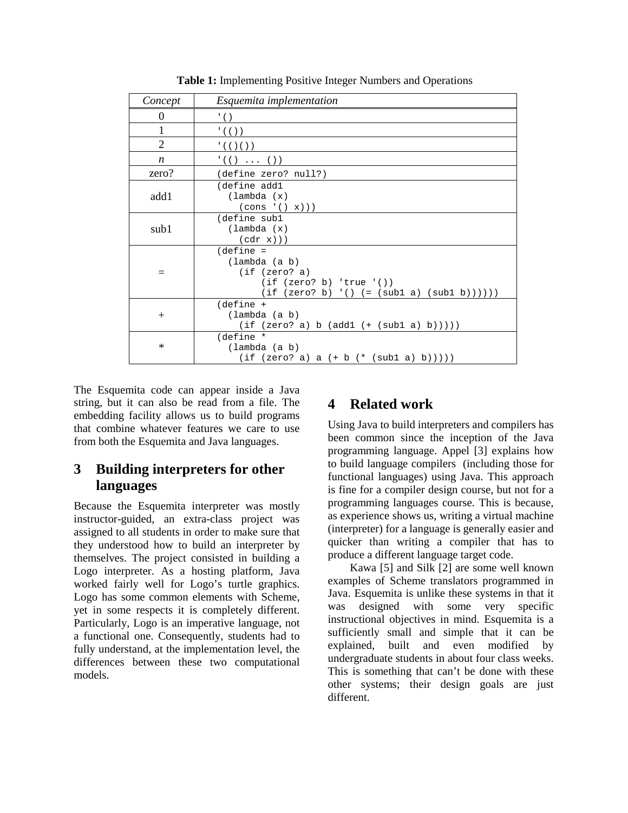| Concept          | Esquemita implementation                                                                                                 |
|------------------|--------------------------------------------------------------------------------------------------------------------------|
| $\theta$         | $\cdot$ ()                                                                                                               |
| $\mathbf{1}$     | $'$ ( ( ) )                                                                                                              |
| 2                | '(( )() )                                                                                                                |
| $\boldsymbol{n}$ | $'(( )$ ( ) )                                                                                                            |
| zero?            | (define zero? null?)                                                                                                     |
| add1             | (define add1<br>$(\lambda)$ (lambda $(x)$<br>$\text{(cons '() x)}$                                                       |
| sub1             | (define subl<br>(lambda (x)<br>(cdr x))                                                                                  |
| $=$              | $define =$<br>(lambda (a b))<br>(if (zero? a)<br>(if (zero? b) 'true '())<br>(if (zero? b) '() (= (sub1 a) (sub1 b)))))) |
| $^{+}$           | $(define +$<br>(lambda (a b)<br>$(if (zero? a) b (add1 (+ (sub1 a) b))))$                                                |
| $\ast$           | (define *<br>(lambda (a b)<br>(if (zero? a) a $(+ b (* (sub1 a) b))))$                                                   |

**Table 1:** Implementing Positive Integer Numbers and Operations

The Esquemita code can appear inside a Java string, but it can also be read from a file. The embedding facility allows us to build programs that combine whatever features we care to use from both the Esquemita and Java languages.

# **3 Building interpreters for other languages**

Because the Esquemita interpreter was mostly instructor-guided, an extra-class project was assigned to all students in order to make sure that they understood how to build an interpreter by themselves. The project consisted in building a Logo interpreter. As a hosting platform, Java worked fairly well for Logo's turtle graphics. Logo has some common elements with Scheme, yet in some respects it is completely different. Particularly, Logo is an imperative language, not a functional one. Consequently, students had to fully understand, at the implementation level, the differences between these two computational models.

## **4 Related work**

Using Java to build interpreters and compilers has been common since the inception of the Java programming language. Appel [3] explains how to build language compilers (including those for functional languages) using Java. This approach is fine for a compiler design course, but not for a programming languages course. This is because, as experience shows us, writing a virtual machine (interpreter) for a language is generally easier and quicker than writing a compiler that has to produce a different language target code.

Kawa [5] and Silk [2] are some well known examples of Scheme translators programmed in Java. Esquemita is unlike these systems in that it was designed with some very specific instructional objectives in mind. Esquemita is a sufficiently small and simple that it can be explained, built and even modified by undergraduate students in about four class weeks. This is something that can't be done with these other systems; their design goals are just different.